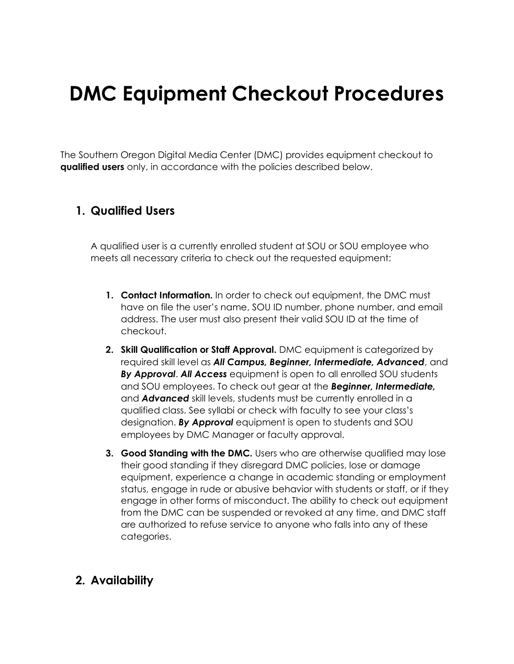# **DMC Equipment Checkout Procedures**

The Southern Oregon Digital Media Center (DMC) provides equipment checkout to **qualified users** only, in accordance with the policies described below.

#### **1. Qualified Users**

A qualified user is a currently enrolled student at SOU or SOU employee who meets all necessary criteria to check out the requested equipment:

- **1. Contact Information.** In order to check out equipment, the DMC must have on file the user's name, SOU ID number, phone number, and email address. The user must also present their valid SOU ID at the time of checkout.
- **2. Skill Qualification or Staff Approval.** DMC equipment is categorized by required skill level as *All Campus, Beginner, Intermediate, Advanced*, and *By Approval*. *All Access* equipment is open to all enrolled SOU students and SOU employees. To check out gear at the *Beginner, Intermediate,*  and *Advanced* skill levels, students must be currently enrolled in a qualified class. See syllabi or check with faculty to see your class's designation. *By Approval* equipment is open to students and SOU employees by DMC Manager or faculty approval.
- **3. Good Standing with the DMC.** Users who are otherwise qualified may lose their good standing if they disregard DMC policies, lose or damage equipment, experience a change in academic standing or employment status, engage in rude or abusive behavior with students or staff, or if they engage in other forms of misconduct. The ability to check out equipment from the DMC can be suspended or revoked at any time, and DMC staff are authorized to refuse service to anyone who falls into any of these categories.

## **2. Availability**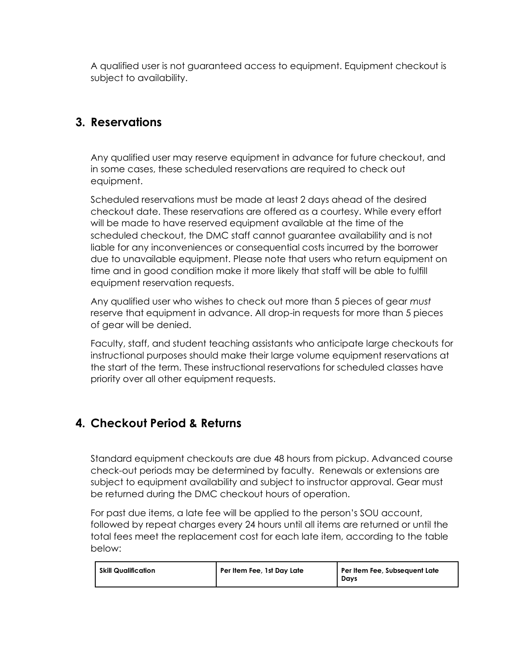A qualified user is not guaranteed access to equipment. Equipment checkout is subject to availability.

# **3. Reservations**

Any qualified user may reserve equipment in advance for future checkout, and in some cases, these scheduled reservations are required to check out equipment.

Scheduled reservations must be made at least 2 days ahead of the desired checkout date. These reservations are offered as a courtesy. While every effort will be made to have reserved equipment available at the time of the scheduled checkout, the DMC staff cannot guarantee availability and is not liable for any inconveniences or consequential costs incurred by the borrower due to unavailable equipment. Please note that users who return equipment on time and in good condition make it more likely that staff will be able to fulfill equipment reservation requests.

Any qualified user who wishes to check out more than 5 pieces of gear *must* reserve that equipment in advance. All drop-in requests for more than 5 pieces of gear will be denied.

Faculty, staff, and student teaching assistants who anticipate large checkouts for instructional purposes should make their large volume equipment reservations at the start of the term. These instructional reservations for scheduled classes have priority over all other equipment requests.

## **4. Checkout Period & Returns**

Standard equipment checkouts are due 48 hours from pickup. Advanced course check-out periods may be determined by faculty. Renewals or extensions are subject to equipment availability and subject to instructor approval. Gear must be returned during the DMC checkout hours of operation.

For past due items, a late fee will be applied to the person's SOU account, followed by repeat charges every 24 hours until all items are returned or until the total fees meet the replacement cost for each late item, according to the table below:

| <b>Skill Qualification</b> | Per Item Fee, 1st Day Late | Per Item Fee, Subsequent Late<br>Davs |
|----------------------------|----------------------------|---------------------------------------|
|----------------------------|----------------------------|---------------------------------------|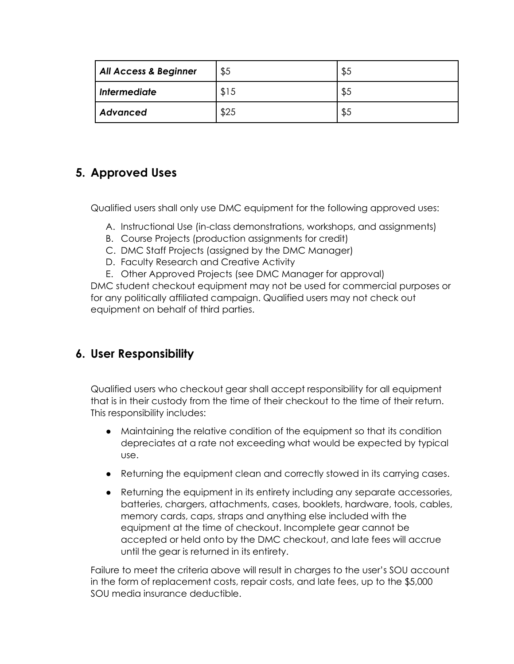| <b>All Access &amp; Beginner</b> | \$5  | \$5 |
|----------------------------------|------|-----|
| <b>Intermediate</b>              | \$15 | \$5 |
| Advanced                         | \$25 | \$5 |

# **5. Approved Uses**

Qualified users shall only use DMC equipment for the following approved uses:

- A. Instructional Use (in-class demonstrations, workshops, and assignments)
- B. Course Projects (production assignments for credit)
- C. DMC Staff Projects (assigned by the DMC Manager)
- D. Faculty Research and Creative Activity
- E. Other Approved Projects (see DMC Manager for approval)

DMC student checkout equipment may not be used for commercial purposes or for any politically affiliated campaign. Qualified users may not check out equipment on behalf of third parties.

## **6. User Responsibility**

Qualified users who checkout gear shall accept responsibility for all equipment that is in their custody from the time of their checkout to the time of their return. This responsibility includes:

- Maintaining the relative condition of the equipment so that its condition depreciates at a rate not exceeding what would be expected by typical use.
- Returning the equipment clean and correctly stowed in its carrying cases.
- Returning the equipment in its entirety including any separate accessories, batteries, chargers, attachments, cases, booklets, hardware, tools, cables, memory cards, caps, straps and anything else included with the equipment at the time of checkout. Incomplete gear cannot be accepted or held onto by the DMC checkout, and late fees will accrue until the gear is returned in its entirety.

Failure to meet the criteria above will result in charges to the user's SOU account in the form of replacement costs, repair costs, and late fees, up to the \$5,000 SOU media insurance deductible.